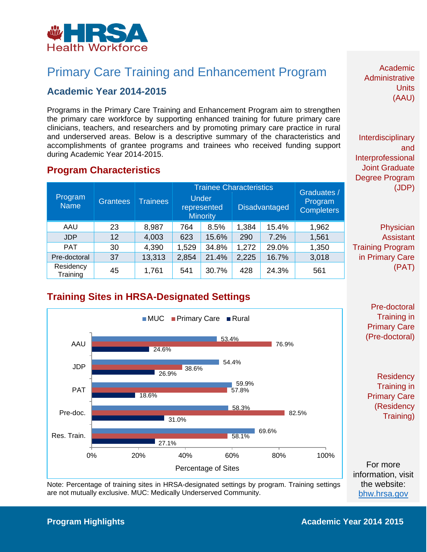

## Primary Care Training and Enhancement Program

#### **Academic Year 2014-2015**

 Programs in the Primary Care Training and Enhancement Program aim to strengthen the primary care workforce by supporting enhanced training for future primary care clinicians, teachers, and researchers and by promoting primary care practice in rural and underserved areas. Below is a descriptive summary of the characteristics and during Academic Year 2014-2015. accomplishments of grantee programs and trainees who received funding support

#### **Program Characteristics**

| Program<br><b>Name</b> | <b>Grantees</b> | <b>Trainees</b> | <b>Trainee Characteristics</b> |                                                |       |                      | Graduates /                  |  |
|------------------------|-----------------|-----------------|--------------------------------|------------------------------------------------|-------|----------------------|------------------------------|--|
|                        |                 |                 |                                | <b>Under</b><br>represented<br><b>Minority</b> |       | <b>Disadvantaged</b> | Program<br><b>Completers</b> |  |
| AAU                    | 23              | 8,987           | 764                            | 8.5%                                           | 1,384 | 15.4%                | 1,962                        |  |
| <b>JDP</b>             | 12              | 4,003           | 623                            | 15.6%                                          | 290   | 7.2%                 | 1,561                        |  |
| <b>PAT</b>             | 30              | 4,390           | 1,529                          | 34.8%                                          | 1,272 | 29.0%                | 1,350                        |  |
| Pre-doctoral           | 37              | 13,313          | 2,854                          | 21.4%                                          | 2,225 | 16.7%                | 3,018                        |  |
| Residency<br>Training  | 45              | 1,761           | 541                            | 30.7%                                          | 428   | 24.3%                | 561                          |  |

Academic Administrative **Units** (AAU)

Interdisciplinary and Interprofessional Joint Graduate Degree Program (JDP)

 in Primary Care (PAT) Physician Assistant Training Program

### **Training Sites in HRSA-Designated Settings**



Note: Percentage of training sites in HRSA-designated settings by program. Training settings are not mutually exclusive. MUC: Medically Underserved Community.

[bhw.hrsa.gov](http://bhw.hrsa.gov/)